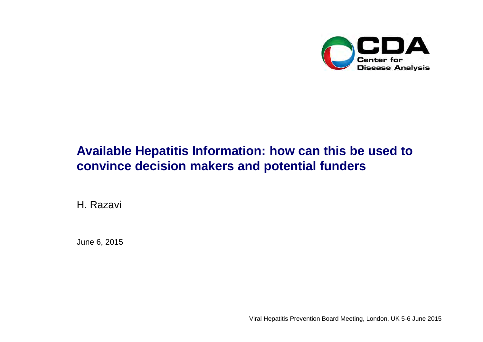

# **Available Hepatitis Information: how can this be used to convince decision makers and potential funders**

H. Razavi

June 6, 2015

Viral Hepatitis Prevention Board Meeting, London, UK 5-6 June 2015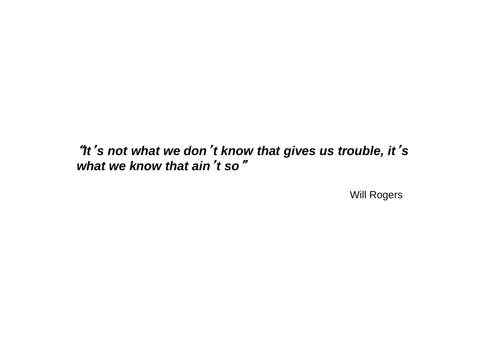"*It* '*s not what we don* '*t know that gives us trouble, it* '*s what we know that ain* '*t so* "

Will Rogers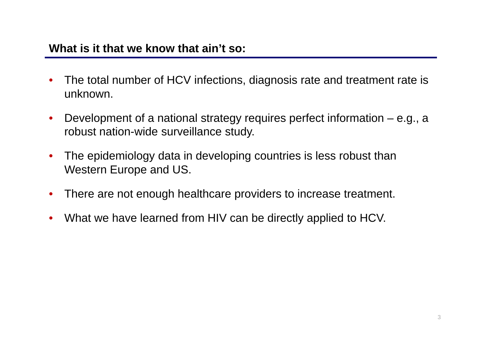### **What is it that we know that ain't so:**

- • The total number of HCV infections, diagnosis rate and treatment rate is unknown.
- • Development of a national strategy requires perfect information – e.g., a robust nation-wide surveillance study.
- • The epidemiology data in developing countries is less robust than Western Europe and US.
- •There are not enough healthcare providers to increase treatment.
- •What we have learned from HIV can be directly applied to HCV.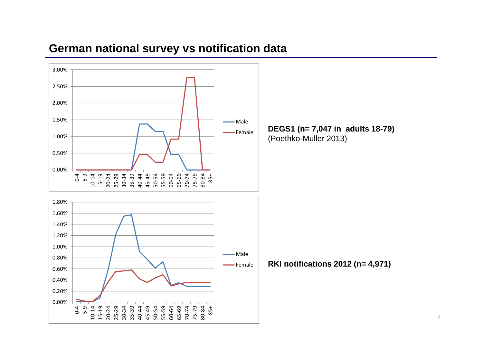

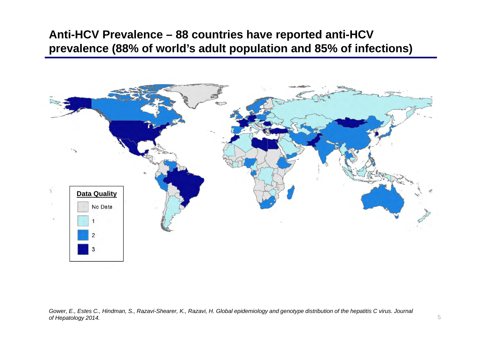## **Anti-HCV Prevalence – 88 countries have reported anti-HCV prevalence (88% of world's adult population and 85% of infections)**

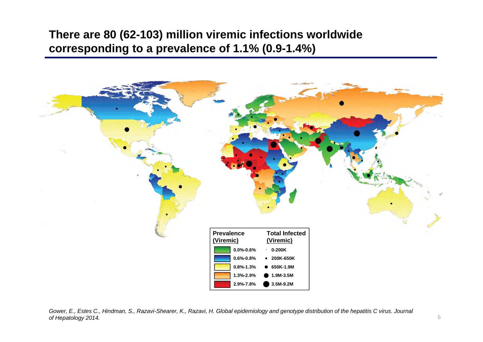## **There are 80 (62-103) million viremic infections worldwide corresponding to a prevalence of 1.1% (0.9-1.4%)**



*Gower, E., Estes C., Hindman, S., Razavi-Shearer, K., Razavi, H. Global epidemiology and genotype distribution of the hepatitis C virus. Journal of Hepatology 2014.*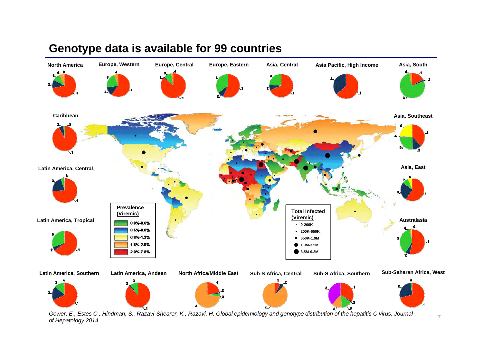## **Genotype data is available for 99 countries**



*Gower, E., Estes C., Hindman, S., Razavi-Shearer, K., Razavi, H. Global epidemiology and genotype distribution of the hepatitis C virus. Journal of Hepatology 2014.*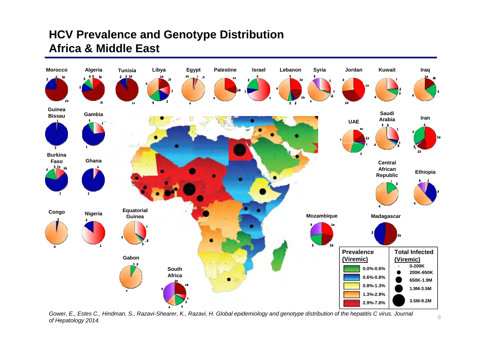## **HCV Prevalence and Genotype Distribution Africa & Middle East**



*Gower, E., Estes C., Hindman, S., Razavi-Shearer, K., Razavi, H. Global epidemiology and genotype distribution of the hepatitis C virus. Journal of Hepatitis C virus. Journal of Hepatology 2014.*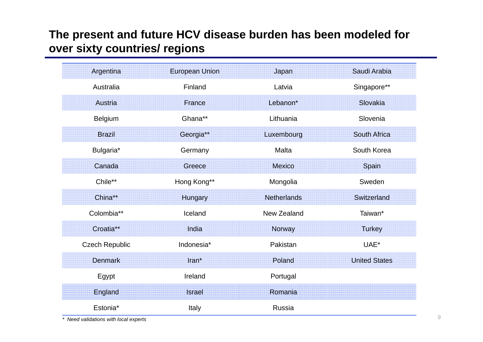## **The present and future HCV disease burden has been modeled for over sixty countries/ regions**

| Argentina             | <b>European Union</b> | Japan              | Saudi Arabia         |  |
|-----------------------|-----------------------|--------------------|----------------------|--|
| Australia             | Finland               | Latvia             | Singapore**          |  |
| Austria               | France                | Lebanon*           | Slovakia             |  |
| Belgium               | Ghana**               | Lithuania          | Slovenia             |  |
| <b>Brazil</b>         | Georgia**             | Luxembourg         | <b>South Africa</b>  |  |
| Bulgaria*             | Germany               | Malta              | South Korea          |  |
| Canada                | Greece                | <b>Mexico</b>      | Spain                |  |
| Chile**               | Hong Kong**           | Mongolia           | Sweden               |  |
| China**               | <b>Hungary</b>        | <b>Netherlands</b> | Switzerland          |  |
| Colombia**            | Iceland               | New Zealand        | Taiwan*              |  |
| Croatia**             | India                 | Norway             | <b>Turkey</b>        |  |
| <b>Czech Republic</b> | Indonesia*            | Pakistan           | UAE*                 |  |
| <b>Denmark</b>        | Iran*                 | Poland             | <b>United States</b> |  |
| Egypt                 | Ireland               | Portugal           |                      |  |
| England               | <b>Israel</b>         | Romania            |                      |  |
| Estonia*              | Italy                 | Russia             |                      |  |

*\* Need validations with local experts*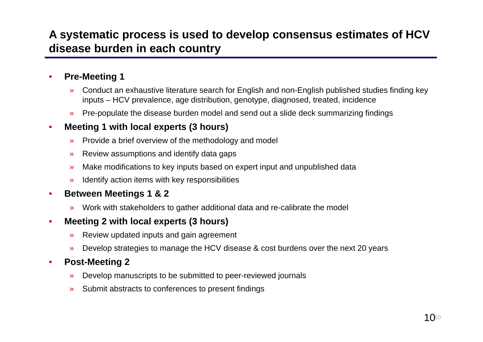## **A systematic process is used to develop consensus estimates of HCV disease burden in each country**

#### •**Pre-Meeting 1**

- » Conduct an exhaustive literature search for English and non-English published studies finding key inputs – HCV prevalence, age distribution, genotype, diagnosed, treated, incidence
- » Pre-populate the disease burden model and send out a slide deck summarizing findings

#### •**Meeting 1 with local experts (3 hours)**

- »Provide a brief overview of the methodology and model
- »Review assumptions and identify data gaps
- »Make modifications to key inputs based on expert input and unpublished data
- »Identify action items with key responsibilities

#### •**Between Meetings 1 & 2**

»Work with stakeholders to gather additional data and re-calibrate the model

#### •**Meeting 2 with local experts (3 hours)**

- »Review updated inputs and gain agreement
- »Develop strategies to manage the HCV disease & cost burdens over the next 20 years

#### •**Post-Meeting 2**

- »Develop manuscripts to be submitted to peer-reviewed journals
- »Submit abstracts to conferences to present findings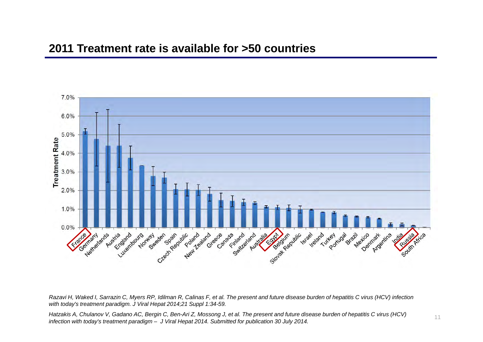### **2011 Treatment rate is available for >50 countries**



*Razavi H, Waked I, Sarrazin C, Myers RP, Idilman R, Calinas F, et al. The present and future disease burden of hepatitis C virus (HCV) infection with today's treatment paradigm. J Viral Hepat 2014;21 Suppl 1:34-59.*

*Hatzakis A, Chulanov V, Gadano AC, Bergin C, Ben-Ari Z, Mossong J, et al. The present and future disease burden of hepatitis C virus (HCV) infection with today's treatment paradigm – J Viral Hepat 2014. Submitted for publication 30 July 2014.*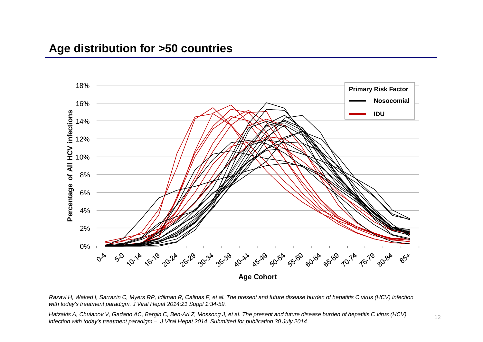### **Age distribution for >50 countries**



*Razavi H, Waked I, Sarrazin C, Myers RP, Idilman R, Calinas F, et al. The present and future disease burden of hepatitis C virus (HCV) infection with today's treatment paradigm. J Viral Hepat 2014;21 Suppl 1:34-59.*

*Hatzakis A, Chulanov V, Gadano AC, Bergin C, Ben-Ari Z, Mossong J, et al. The present and future disease burden of hepatitis C virus (HCV) infection with today's treatment paradigm – J Viral Hepat 2014. Submitted for publication 30 July 2014.*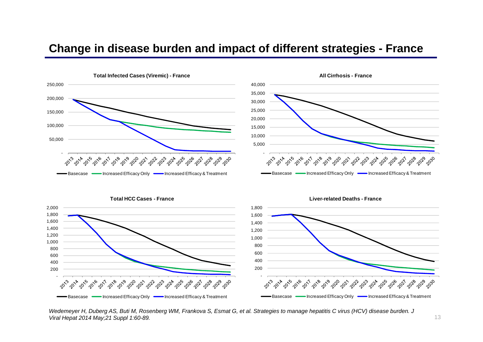### **Change in disease burden and impact of different strategies - France**



*Wedemeyer H, Duberg AS, Buti M, Rosenberg WM, Frankova S, Esmat G, et al. Strategies to manage hepatitis C virus (HCV) disease burden. J Viral Hepat 2014 May;21 Suppl 1:60-89.*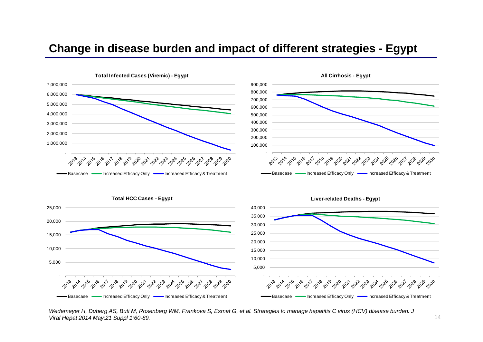### **Change in disease burden and impact of different strategies - Egypt**



*Wedemeyer H, Duberg AS, Buti M, Rosenberg WM, Frankova S, Esmat G, et al. Strategies to manage hepatitis C virus (HCV) disease burden. J Viral Hepat 2014 May;21 Suppl 1:60-89.*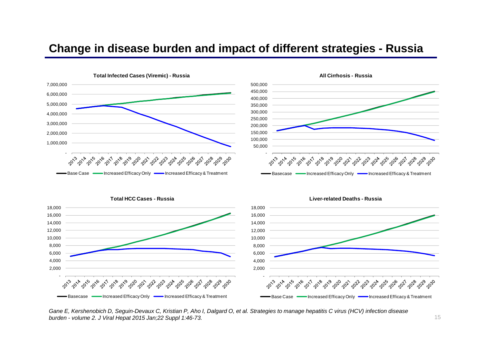### **Change in disease burden and impact of different strategies - Russia**



Gane E, Kershenobich D, Seguin-Devaux C, Kristian P, Aho I, Dalgard O, et al. Strategies to manage hepatitis C virus (HCV) infection disease *burden - volume 2. J Viral Hepat 2015 Jan;22 Suppl 1:46-73.*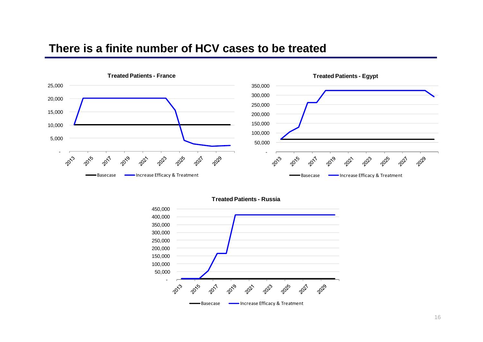





**Treated Patients - Russia**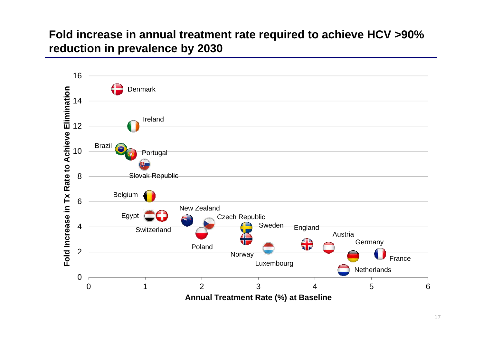## **Fold increase in annual treatment rate required to achieve HCV >90% reduction in prevalence by 2030**

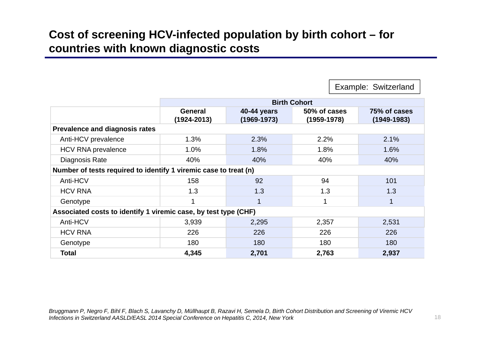## **Cost of screening HCV-infected population by birth cohort – for countries with known diagnostic costs**

Example: Switzerland

|                                                                  | <b>Birth Cohort</b>               |                                       |                                 |                                 |  |  |  |
|------------------------------------------------------------------|-----------------------------------|---------------------------------------|---------------------------------|---------------------------------|--|--|--|
|                                                                  | <b>General</b><br>$(1924 - 2013)$ | <b>40-44 years</b><br>$(1969 - 1973)$ | 50% of cases<br>$(1959 - 1978)$ | 75% of cases<br>$(1949 - 1983)$ |  |  |  |
| <b>Prevalence and diagnosis rates</b>                            |                                   |                                       |                                 |                                 |  |  |  |
| Anti-HCV prevalence                                              | 1.3%                              | 2.3%                                  | 2.2%                            | 2.1%                            |  |  |  |
| <b>HCV RNA prevalence</b>                                        | 1.0%                              | 1.8%                                  | 1.8%                            | 1.6%                            |  |  |  |
| Diagnosis Rate                                                   | 40%                               | 40%                                   | 40%                             | 40%                             |  |  |  |
| Number of tests required to identify 1 viremic case to treat (n) |                                   |                                       |                                 |                                 |  |  |  |
| Anti-HCV                                                         | 158                               | 92                                    | 94                              | 101                             |  |  |  |
| <b>HCV RNA</b>                                                   | 1.3                               | 1.3                                   | 1.3                             | 1.3                             |  |  |  |
| Genotype                                                         | 1                                 |                                       |                                 | 1                               |  |  |  |
| Associated costs to identify 1 viremic case, by test type (CHF)  |                                   |                                       |                                 |                                 |  |  |  |
| Anti-HCV                                                         | 3,939                             | 2,295                                 | 2,357                           | 2,531                           |  |  |  |
| <b>HCV RNA</b>                                                   | 226                               | 226                                   | 226                             | 226                             |  |  |  |
| Genotype                                                         | 180                               | 180                                   | 180                             | 180                             |  |  |  |
| <b>Total</b>                                                     | 4,345                             | 2,701                                 | 2,763                           | 2,937                           |  |  |  |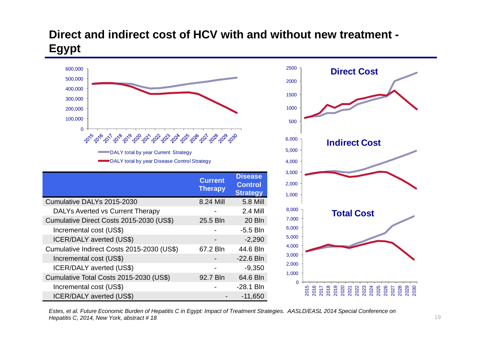## **Direct and indirect cost of HCV with and without new treatment - Egypt**



*Estes, et al. Future Economic Burden of Hepatitis C in Egypt: Impact of Treatment Strategies. AASLD/EASL 2014 Special Conference on Hepatitis C, 2014, New York, abstract # 18*

2029